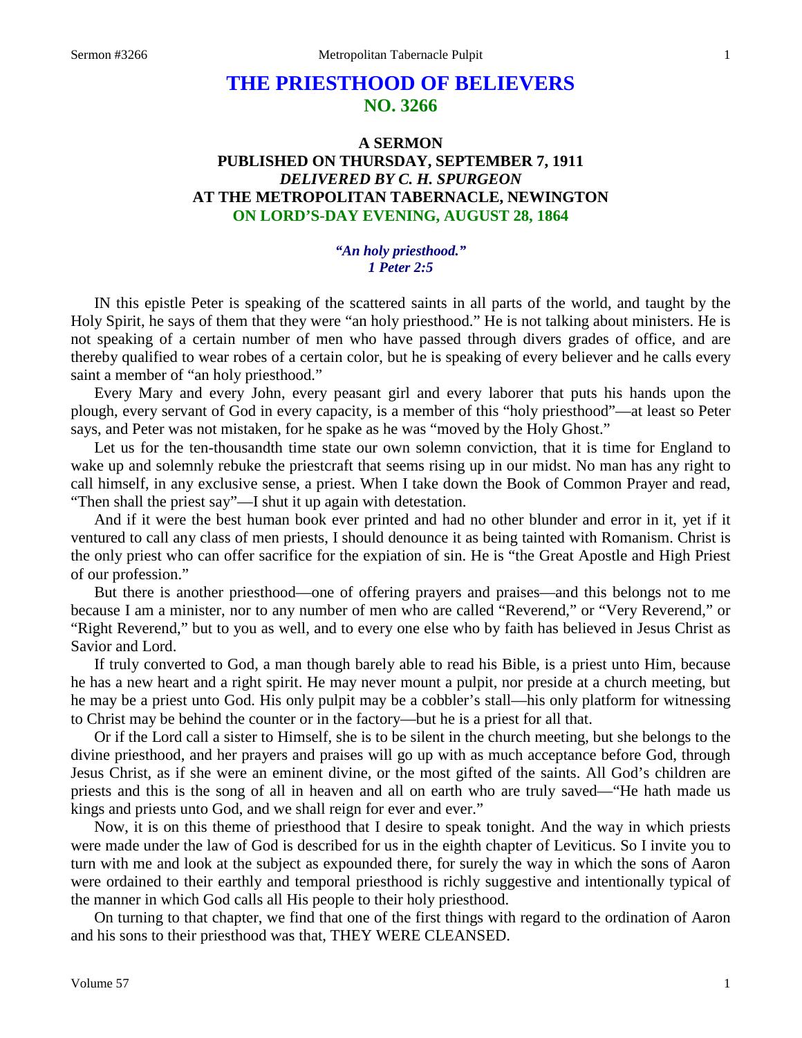# **THE PRIESTHOOD OF BELIEVERS NO. 3266**

# **A SERMON PUBLISHED ON THURSDAY, SEPTEMBER 7, 1911** *DELIVERED BY C. H. SPURGEON* **AT THE METROPOLITAN TABERNACLE, NEWINGTON ON LORD'S-DAY EVENING, AUGUST 28, 1864**

#### *"An holy priesthood." 1 Peter 2:5*

IN this epistle Peter is speaking of the scattered saints in all parts of the world, and taught by the Holy Spirit, he says of them that they were "an holy priesthood." He is not talking about ministers. He is not speaking of a certain number of men who have passed through divers grades of office, and are thereby qualified to wear robes of a certain color, but he is speaking of every believer and he calls every saint a member of "an holy priesthood."

Every Mary and every John, every peasant girl and every laborer that puts his hands upon the plough, every servant of God in every capacity, is a member of this "holy priesthood"—at least so Peter says, and Peter was not mistaken, for he spake as he was "moved by the Holy Ghost."

Let us for the ten-thousandth time state our own solemn conviction, that it is time for England to wake up and solemnly rebuke the priestcraft that seems rising up in our midst. No man has any right to call himself, in any exclusive sense, a priest. When I take down the Book of Common Prayer and read, "Then shall the priest say"—I shut it up again with detestation.

And if it were the best human book ever printed and had no other blunder and error in it, yet if it ventured to call any class of men priests, I should denounce it as being tainted with Romanism. Christ is the only priest who can offer sacrifice for the expiation of sin. He is "the Great Apostle and High Priest of our profession."

But there is another priesthood—one of offering prayers and praises—and this belongs not to me because I am a minister, nor to any number of men who are called "Reverend," or "Very Reverend," or "Right Reverend," but to you as well, and to every one else who by faith has believed in Jesus Christ as Savior and Lord.

If truly converted to God, a man though barely able to read his Bible, is a priest unto Him, because he has a new heart and a right spirit. He may never mount a pulpit, nor preside at a church meeting, but he may be a priest unto God. His only pulpit may be a cobbler's stall—his only platform for witnessing to Christ may be behind the counter or in the factory—but he is a priest for all that.

Or if the Lord call a sister to Himself, she is to be silent in the church meeting, but she belongs to the divine priesthood, and her prayers and praises will go up with as much acceptance before God, through Jesus Christ, as if she were an eminent divine, or the most gifted of the saints. All God's children are priests and this is the song of all in heaven and all on earth who are truly saved—"He hath made us kings and priests unto God, and we shall reign for ever and ever."

Now, it is on this theme of priesthood that I desire to speak tonight. And the way in which priests were made under the law of God is described for us in the eighth chapter of Leviticus. So I invite you to turn with me and look at the subject as expounded there, for surely the way in which the sons of Aaron were ordained to their earthly and temporal priesthood is richly suggestive and intentionally typical of the manner in which God calls all His people to their holy priesthood.

On turning to that chapter, we find that one of the first things with regard to the ordination of Aaron and his sons to their priesthood was that, THEY WERE CLEANSED.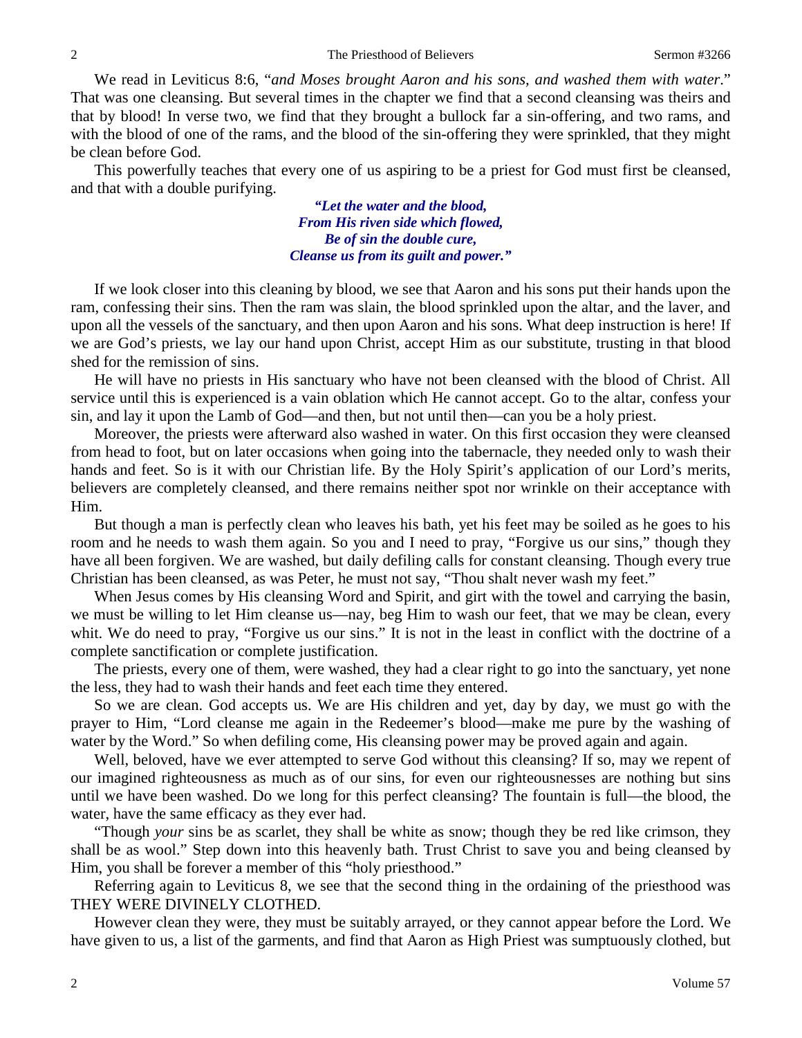We read in Leviticus 8:6, "*and Moses brought Aaron and his sons, and washed them with water*." That was one cleansing. But several times in the chapter we find that a second cleansing was theirs and that by blood! In verse two, we find that they brought a bullock far a sin-offering, and two rams, and with the blood of one of the rams, and the blood of the sin-offering they were sprinkled, that they might be clean before God.

This powerfully teaches that every one of us aspiring to be a priest for God must first be cleansed, and that with a double purifying.

> *"Let the water and the blood, From His riven side which flowed, Be of sin the double cure, Cleanse us from its guilt and power."*

If we look closer into this cleaning by blood, we see that Aaron and his sons put their hands upon the ram, confessing their sins. Then the ram was slain, the blood sprinkled upon the altar, and the laver, and upon all the vessels of the sanctuary, and then upon Aaron and his sons. What deep instruction is here! If we are God's priests, we lay our hand upon Christ, accept Him as our substitute, trusting in that blood shed for the remission of sins.

He will have no priests in His sanctuary who have not been cleansed with the blood of Christ. All service until this is experienced is a vain oblation which He cannot accept. Go to the altar, confess your sin, and lay it upon the Lamb of God—and then, but not until then—can you be a holy priest.

Moreover, the priests were afterward also washed in water. On this first occasion they were cleansed from head to foot, but on later occasions when going into the tabernacle, they needed only to wash their hands and feet. So is it with our Christian life. By the Holy Spirit's application of our Lord's merits, believers are completely cleansed, and there remains neither spot nor wrinkle on their acceptance with Him.

But though a man is perfectly clean who leaves his bath, yet his feet may be soiled as he goes to his room and he needs to wash them again. So you and I need to pray, "Forgive us our sins," though they have all been forgiven. We are washed, but daily defiling calls for constant cleansing. Though every true Christian has been cleansed, as was Peter, he must not say, "Thou shalt never wash my feet."

When Jesus comes by His cleansing Word and Spirit, and girt with the towel and carrying the basin, we must be willing to let Him cleanse us—nay, beg Him to wash our feet, that we may be clean, every whit. We do need to pray, "Forgive us our sins." It is not in the least in conflict with the doctrine of a complete sanctification or complete justification.

The priests, every one of them, were washed, they had a clear right to go into the sanctuary, yet none the less, they had to wash their hands and feet each time they entered.

So we are clean. God accepts us. We are His children and yet, day by day, we must go with the prayer to Him, "Lord cleanse me again in the Redeemer's blood—make me pure by the washing of water by the Word." So when defiling come, His cleansing power may be proved again and again.

Well, beloved, have we ever attempted to serve God without this cleansing? If so, may we repent of our imagined righteousness as much as of our sins, for even our righteousnesses are nothing but sins until we have been washed. Do we long for this perfect cleansing? The fountain is full—the blood, the water, have the same efficacy as they ever had.

"Though *your* sins be as scarlet, they shall be white as snow; though they be red like crimson, they shall be as wool." Step down into this heavenly bath. Trust Christ to save you and being cleansed by Him, you shall be forever a member of this "holy priesthood."

Referring again to Leviticus 8, we see that the second thing in the ordaining of the priesthood was THEY WERE DIVINELY CLOTHED.

However clean they were, they must be suitably arrayed, or they cannot appear before the Lord. We have given to us, a list of the garments, and find that Aaron as High Priest was sumptuously clothed, but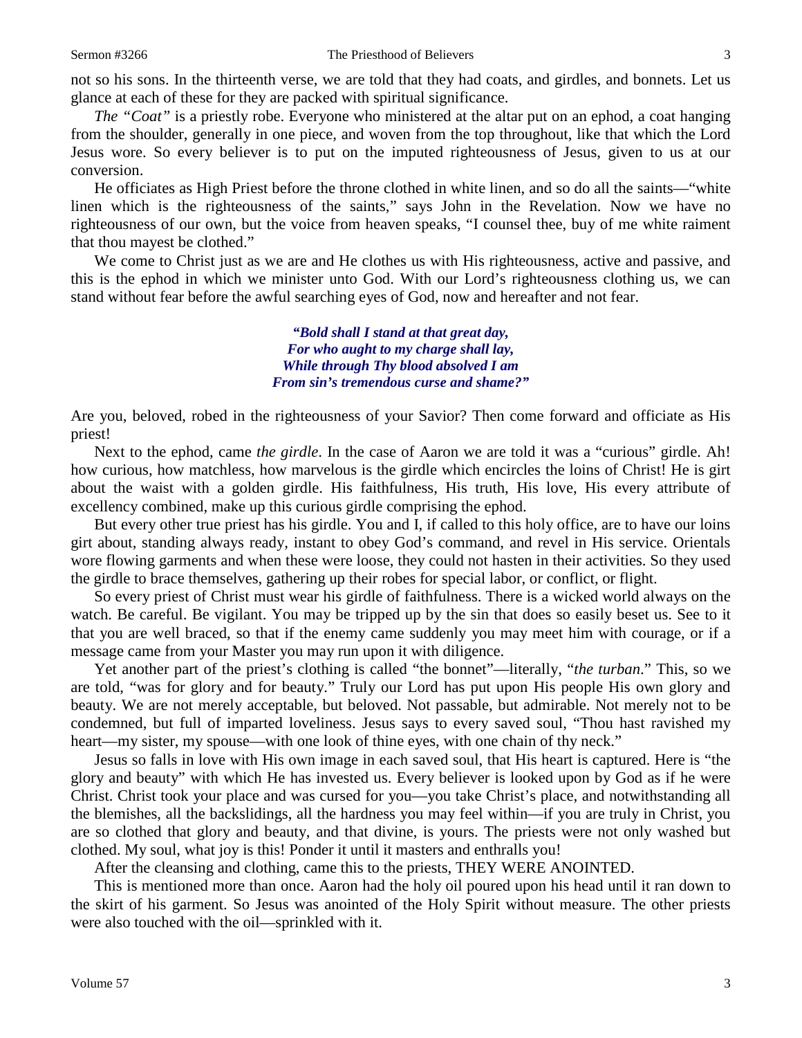not so his sons. In the thirteenth verse, we are told that they had coats, and girdles, and bonnets. Let us glance at each of these for they are packed with spiritual significance.

*The "Coat"* is a priestly robe. Everyone who ministered at the altar put on an ephod, a coat hanging from the shoulder, generally in one piece, and woven from the top throughout, like that which the Lord Jesus wore. So every believer is to put on the imputed righteousness of Jesus, given to us at our conversion.

He officiates as High Priest before the throne clothed in white linen, and so do all the saints—"white linen which is the righteousness of the saints," says John in the Revelation. Now we have no righteousness of our own, but the voice from heaven speaks, "I counsel thee, buy of me white raiment that thou mayest be clothed."

We come to Christ just as we are and He clothes us with His righteousness, active and passive, and this is the ephod in which we minister unto God. With our Lord's righteousness clothing us, we can stand without fear before the awful searching eyes of God, now and hereafter and not fear.

> *"Bold shall I stand at that great day, For who aught to my charge shall lay, While through Thy blood absolved I am From sin's tremendous curse and shame?"*

Are you, beloved, robed in the righteousness of your Savior? Then come forward and officiate as His priest!

Next to the ephod, came *the girdle*. In the case of Aaron we are told it was a "curious" girdle. Ah! how curious, how matchless, how marvelous is the girdle which encircles the loins of Christ! He is girt about the waist with a golden girdle. His faithfulness, His truth, His love, His every attribute of excellency combined, make up this curious girdle comprising the ephod.

But every other true priest has his girdle. You and I, if called to this holy office, are to have our loins girt about, standing always ready, instant to obey God's command, and revel in His service. Orientals wore flowing garments and when these were loose, they could not hasten in their activities. So they used the girdle to brace themselves, gathering up their robes for special labor, or conflict, or flight.

So every priest of Christ must wear his girdle of faithfulness. There is a wicked world always on the watch. Be careful. Be vigilant. You may be tripped up by the sin that does so easily beset us. See to it that you are well braced, so that if the enemy came suddenly you may meet him with courage, or if a message came from your Master you may run upon it with diligence.

Yet another part of the priest's clothing is called "the bonnet"—literally, "*the turban*." This, so we are told, "was for glory and for beauty." Truly our Lord has put upon His people His own glory and beauty. We are not merely acceptable, but beloved. Not passable, but admirable. Not merely not to be condemned, but full of imparted loveliness. Jesus says to every saved soul, "Thou hast ravished my heart—my sister, my spouse—with one look of thine eyes, with one chain of thy neck."

Jesus so falls in love with His own image in each saved soul, that His heart is captured. Here is "the glory and beauty" with which He has invested us. Every believer is looked upon by God as if he were Christ. Christ took your place and was cursed for you—you take Christ's place, and notwithstanding all the blemishes, all the backslidings, all the hardness you may feel within—if you are truly in Christ, you are so clothed that glory and beauty, and that divine, is yours. The priests were not only washed but clothed. My soul, what joy is this! Ponder it until it masters and enthralls you!

After the cleansing and clothing, came this to the priests, THEY WERE ANOINTED.

This is mentioned more than once. Aaron had the holy oil poured upon his head until it ran down to the skirt of his garment. So Jesus was anointed of the Holy Spirit without measure. The other priests were also touched with the oil—sprinkled with it.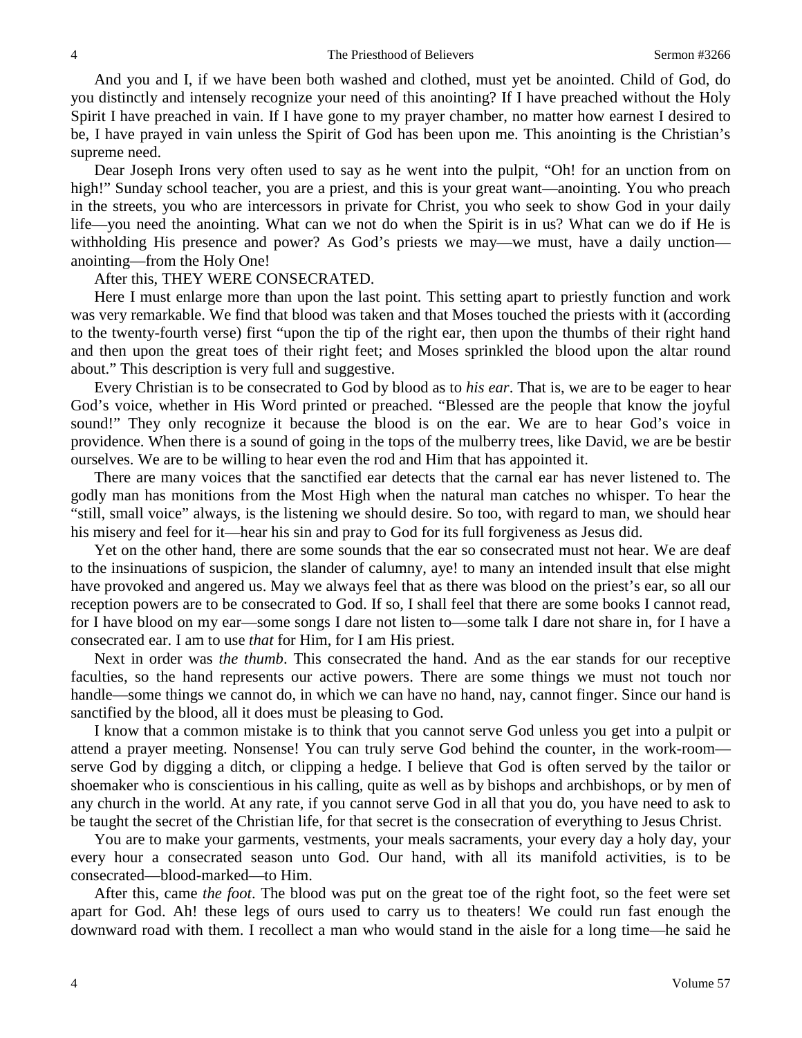And you and I, if we have been both washed and clothed, must yet be anointed. Child of God, do you distinctly and intensely recognize your need of this anointing? If I have preached without the Holy Spirit I have preached in vain. If I have gone to my prayer chamber, no matter how earnest I desired to be, I have prayed in vain unless the Spirit of God has been upon me. This anointing is the Christian's supreme need.

Dear Joseph Irons very often used to say as he went into the pulpit, "Oh! for an unction from on high!" Sunday school teacher, you are a priest, and this is your great want—anointing. You who preach in the streets, you who are intercessors in private for Christ, you who seek to show God in your daily life—you need the anointing. What can we not do when the Spirit is in us? What can we do if He is withholding His presence and power? As God's priests we may—we must, have a daily unction anointing—from the Holy One!

#### After this, THEY WERE CONSECRATED.

Here I must enlarge more than upon the last point. This setting apart to priestly function and work was very remarkable. We find that blood was taken and that Moses touched the priests with it (according to the twenty-fourth verse) first "upon the tip of the right ear, then upon the thumbs of their right hand and then upon the great toes of their right feet; and Moses sprinkled the blood upon the altar round about." This description is very full and suggestive.

Every Christian is to be consecrated to God by blood as to *his ear*. That is, we are to be eager to hear God's voice, whether in His Word printed or preached. "Blessed are the people that know the joyful sound!" They only recognize it because the blood is on the ear. We are to hear God's voice in providence. When there is a sound of going in the tops of the mulberry trees, like David, we are be bestir ourselves. We are to be willing to hear even the rod and Him that has appointed it.

There are many voices that the sanctified ear detects that the carnal ear has never listened to. The godly man has monitions from the Most High when the natural man catches no whisper. To hear the "still, small voice" always, is the listening we should desire. So too, with regard to man, we should hear his misery and feel for it—hear his sin and pray to God for its full forgiveness as Jesus did.

Yet on the other hand, there are some sounds that the ear so consecrated must not hear. We are deaf to the insinuations of suspicion, the slander of calumny, aye! to many an intended insult that else might have provoked and angered us. May we always feel that as there was blood on the priest's ear, so all our reception powers are to be consecrated to God. If so, I shall feel that there are some books I cannot read, for I have blood on my ear—some songs I dare not listen to—some talk I dare not share in, for I have a consecrated ear. I am to use *that* for Him, for I am His priest.

Next in order was *the thumb*. This consecrated the hand. And as the ear stands for our receptive faculties, so the hand represents our active powers. There are some things we must not touch nor handle—some things we cannot do, in which we can have no hand, nay, cannot finger. Since our hand is sanctified by the blood, all it does must be pleasing to God.

I know that a common mistake is to think that you cannot serve God unless you get into a pulpit or attend a prayer meeting. Nonsense! You can truly serve God behind the counter, in the work-room serve God by digging a ditch, or clipping a hedge. I believe that God is often served by the tailor or shoemaker who is conscientious in his calling, quite as well as by bishops and archbishops, or by men of any church in the world. At any rate, if you cannot serve God in all that you do, you have need to ask to be taught the secret of the Christian life, for that secret is the consecration of everything to Jesus Christ.

You are to make your garments, vestments, your meals sacraments, your every day a holy day, your every hour a consecrated season unto God. Our hand, with all its manifold activities, is to be consecrated—blood-marked—to Him.

After this, came *the foot*. The blood was put on the great toe of the right foot, so the feet were set apart for God. Ah! these legs of ours used to carry us to theaters! We could run fast enough the downward road with them. I recollect a man who would stand in the aisle for a long time—he said he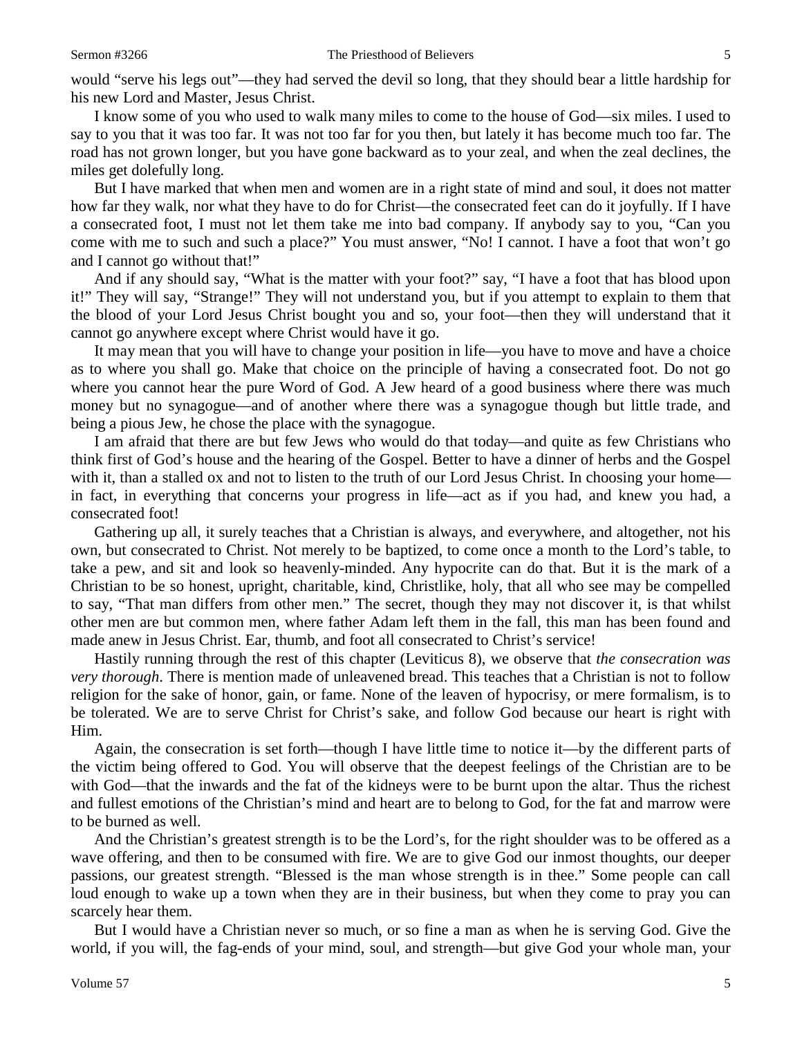would "serve his legs out"—they had served the devil so long, that they should bear a little hardship for his new Lord and Master, Jesus Christ.

I know some of you who used to walk many miles to come to the house of God—six miles. I used to say to you that it was too far. It was not too far for you then, but lately it has become much too far. The road has not grown longer, but you have gone backward as to your zeal, and when the zeal declines, the miles get dolefully long.

But I have marked that when men and women are in a right state of mind and soul, it does not matter how far they walk, nor what they have to do for Christ—the consecrated feet can do it joyfully. If I have a consecrated foot, I must not let them take me into bad company. If anybody say to you, "Can you come with me to such and such a place?" You must answer, "No! I cannot. I have a foot that won't go and I cannot go without that!"

And if any should say, "What is the matter with your foot?" say, "I have a foot that has blood upon it!" They will say, "Strange!" They will not understand you, but if you attempt to explain to them that the blood of your Lord Jesus Christ bought you and so, your foot—then they will understand that it cannot go anywhere except where Christ would have it go.

It may mean that you will have to change your position in life—you have to move and have a choice as to where you shall go. Make that choice on the principle of having a consecrated foot. Do not go where you cannot hear the pure Word of God. A Jew heard of a good business where there was much money but no synagogue—and of another where there was a synagogue though but little trade, and being a pious Jew, he chose the place with the synagogue.

I am afraid that there are but few Jews who would do that today—and quite as few Christians who think first of God's house and the hearing of the Gospel. Better to have a dinner of herbs and the Gospel with it, than a stalled ox and not to listen to the truth of our Lord Jesus Christ. In choosing your home in fact, in everything that concerns your progress in life—act as if you had, and knew you had, a consecrated foot!

Gathering up all, it surely teaches that a Christian is always, and everywhere, and altogether, not his own, but consecrated to Christ. Not merely to be baptized, to come once a month to the Lord's table, to take a pew, and sit and look so heavenly-minded. Any hypocrite can do that. But it is the mark of a Christian to be so honest, upright, charitable, kind, Christlike, holy, that all who see may be compelled to say, "That man differs from other men." The secret, though they may not discover it, is that whilst other men are but common men, where father Adam left them in the fall, this man has been found and made anew in Jesus Christ. Ear, thumb, and foot all consecrated to Christ's service!

Hastily running through the rest of this chapter (Leviticus 8), we observe that *the consecration was very thorough*. There is mention made of unleavened bread. This teaches that a Christian is not to follow religion for the sake of honor, gain, or fame. None of the leaven of hypocrisy, or mere formalism, is to be tolerated. We are to serve Christ for Christ's sake, and follow God because our heart is right with Him.

Again, the consecration is set forth—though I have little time to notice it—by the different parts of the victim being offered to God. You will observe that the deepest feelings of the Christian are to be with God—that the inwards and the fat of the kidneys were to be burnt upon the altar. Thus the richest and fullest emotions of the Christian's mind and heart are to belong to God, for the fat and marrow were to be burned as well.

And the Christian's greatest strength is to be the Lord's, for the right shoulder was to be offered as a wave offering, and then to be consumed with fire. We are to give God our inmost thoughts, our deeper passions, our greatest strength. "Blessed is the man whose strength is in thee." Some people can call loud enough to wake up a town when they are in their business, but when they come to pray you can scarcely hear them.

But I would have a Christian never so much, or so fine a man as when he is serving God. Give the world, if you will, the fag-ends of your mind, soul, and strength—but give God your whole man, your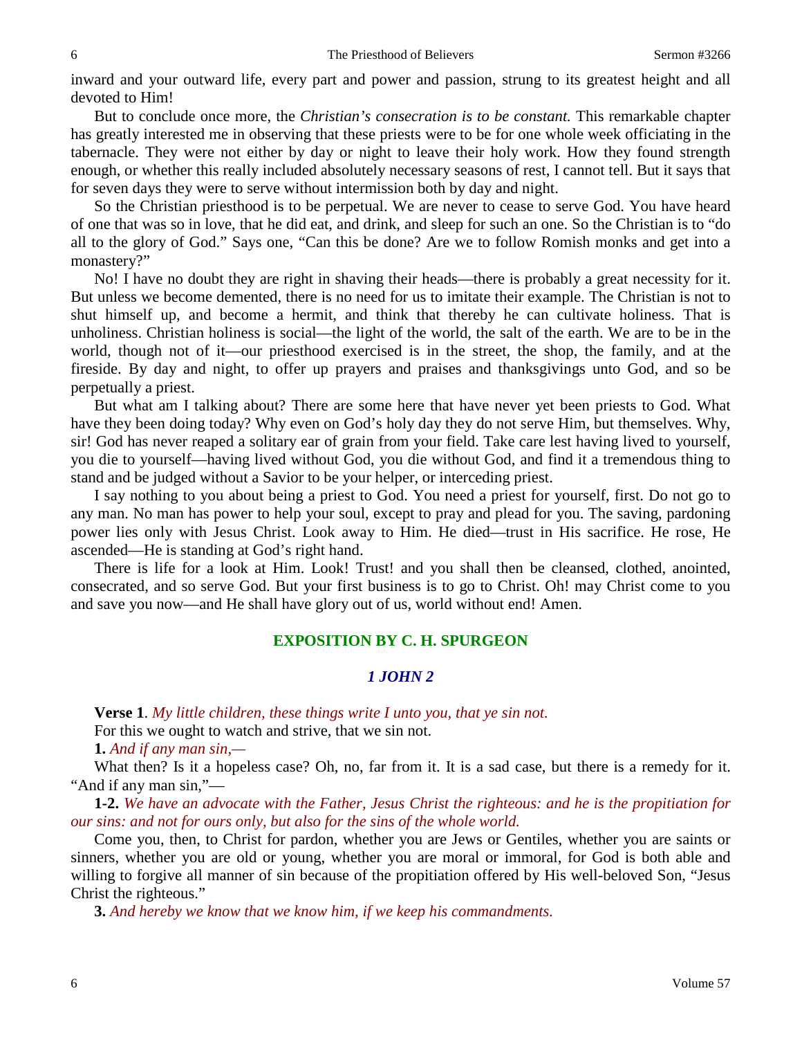inward and your outward life, every part and power and passion, strung to its greatest height and all devoted to Him!

But to conclude once more, the *Christian's consecration is to be constant.* This remarkable chapter has greatly interested me in observing that these priests were to be for one whole week officiating in the tabernacle. They were not either by day or night to leave their holy work. How they found strength enough, or whether this really included absolutely necessary seasons of rest, I cannot tell. But it says that for seven days they were to serve without intermission both by day and night.

So the Christian priesthood is to be perpetual. We are never to cease to serve God. You have heard of one that was so in love, that he did eat, and drink, and sleep for such an one. So the Christian is to "do all to the glory of God." Says one, "Can this be done? Are we to follow Romish monks and get into a monastery?"

No! I have no doubt they are right in shaving their heads—there is probably a great necessity for it. But unless we become demented, there is no need for us to imitate their example. The Christian is not to shut himself up, and become a hermit, and think that thereby he can cultivate holiness. That is unholiness. Christian holiness is social—the light of the world, the salt of the earth. We are to be in the world, though not of it—our priesthood exercised is in the street, the shop, the family, and at the fireside. By day and night, to offer up prayers and praises and thanksgivings unto God, and so be perpetually a priest.

But what am I talking about? There are some here that have never yet been priests to God. What have they been doing today? Why even on God's holy day they do not serve Him, but themselves. Why, sir! God has never reaped a solitary ear of grain from your field. Take care lest having lived to yourself, you die to yourself—having lived without God, you die without God, and find it a tremendous thing to stand and be judged without a Savior to be your helper, or interceding priest.

I say nothing to you about being a priest to God. You need a priest for yourself, first. Do not go to any man. No man has power to help your soul, except to pray and plead for you. The saving, pardoning power lies only with Jesus Christ. Look away to Him. He died—trust in His sacrifice. He rose, He ascended—He is standing at God's right hand.

There is life for a look at Him. Look! Trust! and you shall then be cleansed, clothed, anointed, consecrated, and so serve God. But your first business is to go to Christ. Oh! may Christ come to you and save you now—and He shall have glory out of us, world without end! Amen.

### **EXPOSITION BY C. H. SPURGEON**

### *1 JOHN 2*

**Verse 1**. *My little children, these things write I unto you, that ye sin not.* 

For this we ought to watch and strive, that we sin not.

**1.** *And if any man sin,—*

What then? Is it a hopeless case? Oh, no, far from it. It is a sad case, but there is a remedy for it. "And if any man sin,"—

**1-2.** *We have an advocate with the Father, Jesus Christ the righteous: and he is the propitiation for our sins: and not for ours only, but also for the sins of the whole world.* 

Come you, then, to Christ for pardon, whether you are Jews or Gentiles, whether you are saints or sinners, whether you are old or young, whether you are moral or immoral, for God is both able and willing to forgive all manner of sin because of the propitiation offered by His well-beloved Son, "Jesus Christ the righteous."

**3.** *And hereby we know that we know him, if we keep his commandments.*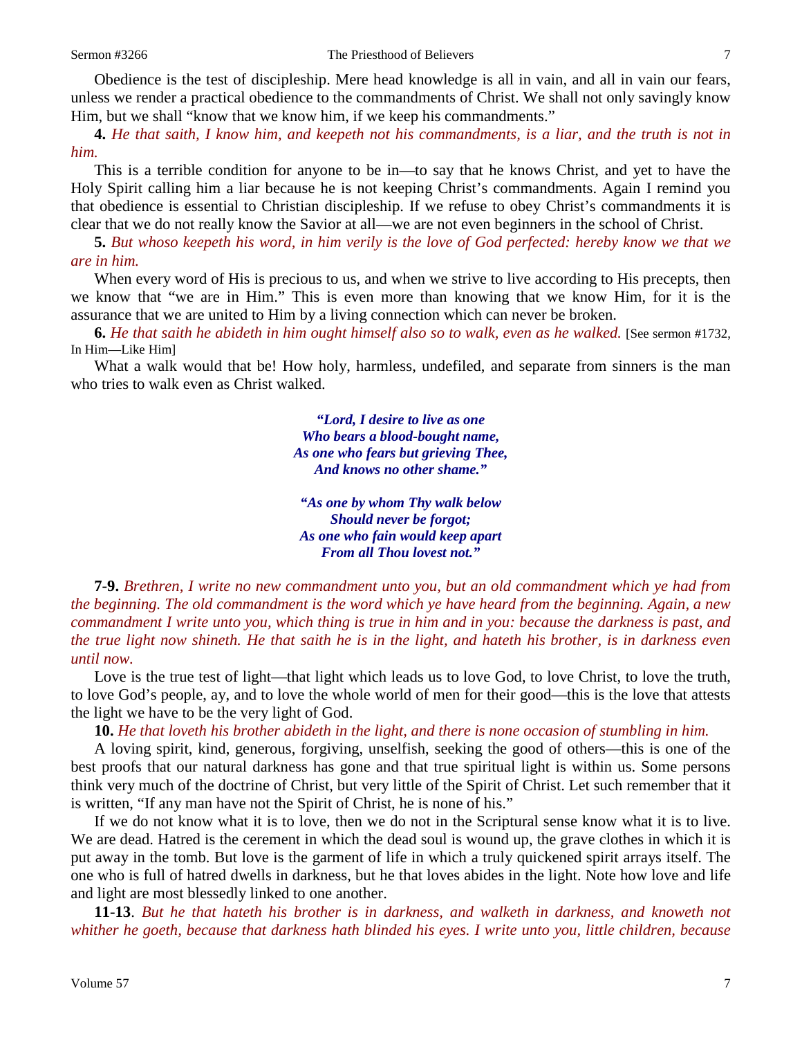Obedience is the test of discipleship. Mere head knowledge is all in vain, and all in vain our fears, unless we render a practical obedience to the commandments of Christ. We shall not only savingly know Him, but we shall "know that we know him, if we keep his commandments."

**4.** *He that saith, I know him, and keepeth not his commandments, is a liar, and the truth is not in him.* 

This is a terrible condition for anyone to be in—to say that he knows Christ, and yet to have the Holy Spirit calling him a liar because he is not keeping Christ's commandments. Again I remind you that obedience is essential to Christian discipleship. If we refuse to obey Christ's commandments it is clear that we do not really know the Savior at all—we are not even beginners in the school of Christ.

**5.** *But whoso keepeth his word, in him verily is the love of God perfected: hereby know we that we are in him.* 

When every word of His is precious to us, and when we strive to live according to His precepts, then we know that "we are in Him." This is even more than knowing that we know Him, for it is the assurance that we are united to Him by a living connection which can never be broken.

**6.** *He that saith he abideth in him ought himself also so to walk, even as he walked.* [See sermon #1732, In Him—Like Him]

What a walk would that be! How holy, harmless, undefiled, and separate from sinners is the man who tries to walk even as Christ walked.

> *"Lord, I desire to live as one Who bears a blood-bought name, As one who fears but grieving Thee, And knows no other shame."*

*"As one by whom Thy walk below Should never be forgot; As one who fain would keep apart From all Thou lovest not."*

**7-9.** *Brethren, I write no new commandment unto you, but an old commandment which ye had from the beginning. The old commandment is the word which ye have heard from the beginning. Again, a new commandment I write unto you, which thing is true in him and in you: because the darkness is past, and the true light now shineth. He that saith he is in the light, and hateth his brother, is in darkness even until now.*

Love is the true test of light—that light which leads us to love God, to love Christ, to love the truth, to love God's people, ay, and to love the whole world of men for their good—this is the love that attests the light we have to be the very light of God.

**10.** *He that loveth his brother abideth in the light, and there is none occasion of stumbling in him.* 

A loving spirit, kind, generous, forgiving, unselfish, seeking the good of others—this is one of the best proofs that our natural darkness has gone and that true spiritual light is within us. Some persons think very much of the doctrine of Christ, but very little of the Spirit of Christ. Let such remember that it is written, "If any man have not the Spirit of Christ, he is none of his."

If we do not know what it is to love, then we do not in the Scriptural sense know what it is to live. We are dead. Hatred is the cerement in which the dead soul is wound up, the grave clothes in which it is put away in the tomb. But love is the garment of life in which a truly quickened spirit arrays itself. The one who is full of hatred dwells in darkness, but he that loves abides in the light. Note how love and life and light are most blessedly linked to one another.

**11-13**. *But he that hateth his brother is in darkness, and walketh in darkness, and knoweth not whither he goeth, because that darkness hath blinded his eyes. I write unto you, little children, because*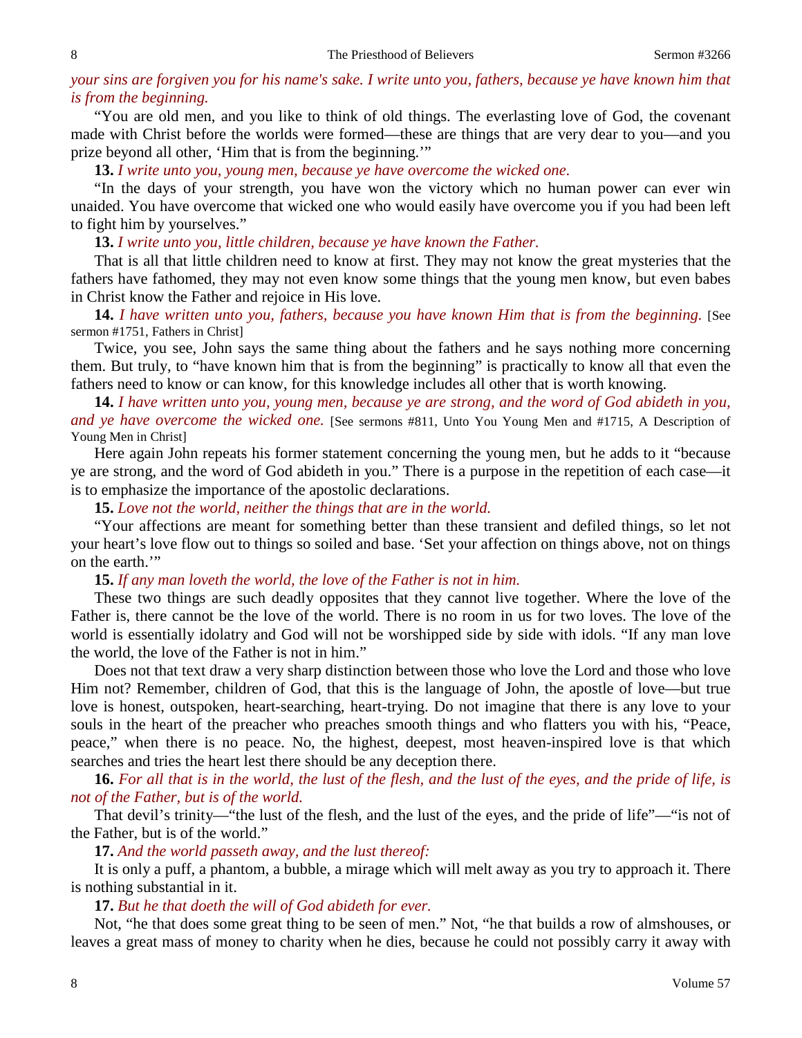## *your sins are forgiven you for his name's sake. I write unto you, fathers, because ye have known him that is from the beginning.*

"You are old men, and you like to think of old things. The everlasting love of God, the covenant made with Christ before the worlds were formed—these are things that are very dear to you—and you prize beyond all other, 'Him that is from the beginning.'"

**13.** *I write unto you, young men, because ye have overcome the wicked one.* 

"In the days of your strength, you have won the victory which no human power can ever win unaided. You have overcome that wicked one who would easily have overcome you if you had been left to fight him by yourselves."

**13.** *I write unto you, little children, because ye have known the Father.* 

That is all that little children need to know at first. They may not know the great mysteries that the fathers have fathomed, they may not even know some things that the young men know, but even babes in Christ know the Father and rejoice in His love.

**14.** *I have written unto you, fathers, because you have known Him that is from the beginning.* [See sermon #1751, Fathers in Christ]

Twice, you see, John says the same thing about the fathers and he says nothing more concerning them. But truly, to "have known him that is from the beginning" is practically to know all that even the fathers need to know or can know, for this knowledge includes all other that is worth knowing.

**14.** *I have written unto you, young men, because ye are strong, and the word of God abideth in you, and ye have overcome the wicked one.* [See sermons #811, Unto You Young Men and #1715, A Description of Young Men in Christ]

Here again John repeats his former statement concerning the young men, but he adds to it "because ye are strong, and the word of God abideth in you." There is a purpose in the repetition of each case—it is to emphasize the importance of the apostolic declarations.

**15.** *Love not the world, neither the things that are in the world.* 

"Your affections are meant for something better than these transient and defiled things, so let not your heart's love flow out to things so soiled and base. 'Set your affection on things above, not on things on the earth."

**15.** *If any man loveth the world, the love of the Father is not in him.* 

These two things are such deadly opposites that they cannot live together. Where the love of the Father is, there cannot be the love of the world. There is no room in us for two loves. The love of the world is essentially idolatry and God will not be worshipped side by side with idols. "If any man love the world, the love of the Father is not in him."

Does not that text draw a very sharp distinction between those who love the Lord and those who love Him not? Remember, children of God, that this is the language of John, the apostle of love—but true love is honest, outspoken, heart-searching, heart-trying. Do not imagine that there is any love to your souls in the heart of the preacher who preaches smooth things and who flatters you with his, "Peace, peace," when there is no peace. No, the highest, deepest, most heaven-inspired love is that which searches and tries the heart lest there should be any deception there.

**16.** *For all that is in the world, the lust of the flesh, and the lust of the eyes, and the pride of life, is not of the Father, but is of the world.* 

That devil's trinity—"the lust of the flesh, and the lust of the eyes, and the pride of life"—"is not of the Father, but is of the world."

**17.** *And the world passeth away, and the lust thereof:*

It is only a puff, a phantom, a bubble, a mirage which will melt away as you try to approach it. There is nothing substantial in it.

**17.** *But he that doeth the will of God abideth for ever.* 

Not, "he that does some great thing to be seen of men." Not, "he that builds a row of almshouses, or leaves a great mass of money to charity when he dies, because he could not possibly carry it away with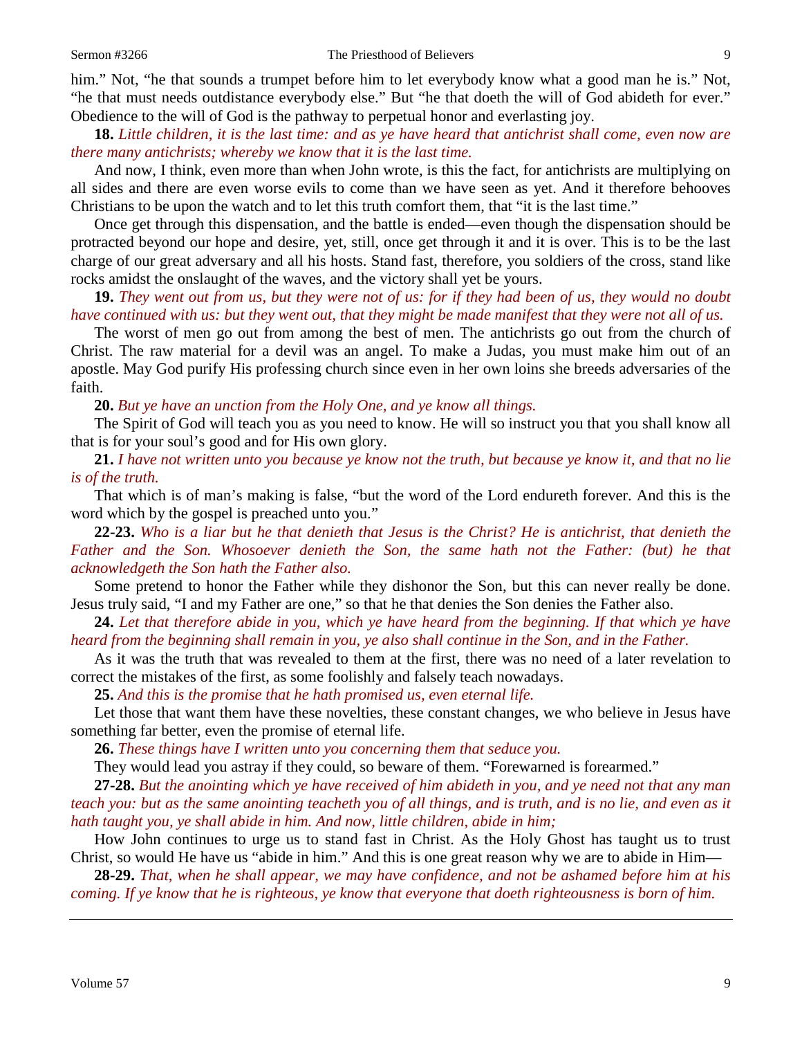him." Not, "he that sounds a trumpet before him to let everybody know what a good man he is." Not, "he that must needs outdistance everybody else." But "he that doeth the will of God abideth for ever." Obedience to the will of God is the pathway to perpetual honor and everlasting joy.

**18.** *Little children, it is the last time: and as ye have heard that antichrist shall come, even now are there many antichrists; whereby we know that it is the last time.* 

And now, I think, even more than when John wrote, is this the fact, for antichrists are multiplying on all sides and there are even worse evils to come than we have seen as yet. And it therefore behooves Christians to be upon the watch and to let this truth comfort them, that "it is the last time."

Once get through this dispensation, and the battle is ended—even though the dispensation should be protracted beyond our hope and desire, yet, still, once get through it and it is over. This is to be the last charge of our great adversary and all his hosts. Stand fast, therefore, you soldiers of the cross, stand like rocks amidst the onslaught of the waves, and the victory shall yet be yours.

**19.** *They went out from us, but they were not of us: for if they had been of us, they would no doubt have continued with us: but they went out, that they might be made manifest that they were not all of us.* 

The worst of men go out from among the best of men. The antichrists go out from the church of Christ. The raw material for a devil was an angel. To make a Judas, you must make him out of an apostle. May God purify His professing church since even in her own loins she breeds adversaries of the faith.

**20.** *But ye have an unction from the Holy One, and ye know all things.* 

The Spirit of God will teach you as you need to know. He will so instruct you that you shall know all that is for your soul's good and for His own glory.

**21.** *I have not written unto you because ye know not the truth, but because ye know it, and that no lie is of the truth.* 

That which is of man's making is false, "but the word of the Lord endureth forever. And this is the word which by the gospel is preached unto you."

**22-23.** *Who is a liar but he that denieth that Jesus is the Christ? He is antichrist, that denieth the Father and the Son. Whosoever denieth the Son, the same hath not the Father: (but) he that acknowledgeth the Son hath the Father also.*

Some pretend to honor the Father while they dishonor the Son, but this can never really be done. Jesus truly said, "I and my Father are one," so that he that denies the Son denies the Father also.

**24.** *Let that therefore abide in you, which ye have heard from the beginning. If that which ye have heard from the beginning shall remain in you, ye also shall continue in the Son, and in the Father.* 

As it was the truth that was revealed to them at the first, there was no need of a later revelation to correct the mistakes of the first, as some foolishly and falsely teach nowadays.

**25.** *And this is the promise that he hath promised us, even eternal life.* 

Let those that want them have these novelties, these constant changes, we who believe in Jesus have something far better, even the promise of eternal life.

**26.** *These things have I written unto you concerning them that seduce you.* 

They would lead you astray if they could, so beware of them. "Forewarned is forearmed."

**27-28.** *But the anointing which ye have received of him abideth in you, and ye need not that any man teach you: but as the same anointing teacheth you of all things, and is truth, and is no lie, and even as it hath taught you, ye shall abide in him. And now, little children, abide in him;*

How John continues to urge us to stand fast in Christ. As the Holy Ghost has taught us to trust Christ, so would He have us "abide in him." And this is one great reason why we are to abide in Him—

**28-29.** *That, when he shall appear, we may have confidence, and not be ashamed before him at his coming. If ye know that he is righteous, ye know that everyone that doeth righteousness is born of him.*